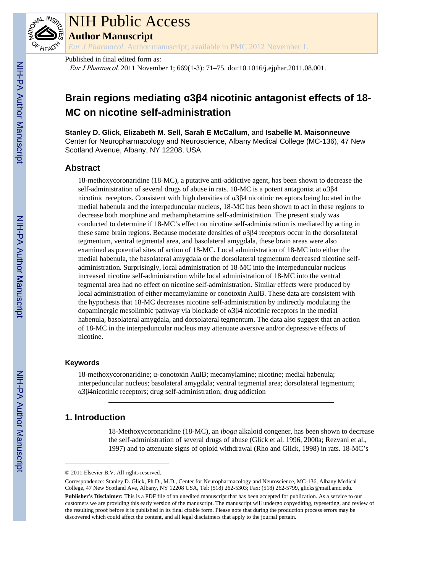

# NIH Public Access

**Author Manuscript**

*Eur J Pharmacol*. Author manuscript; available in PMC 2012 November 1.

Published in final edited form as:

Eur J Pharmacol. 2011 November 1; 669(1-3): 71–75. doi:10.1016/j.ejphar.2011.08.001.

# **Brain regions mediating α3β4 nicotinic antagonist effects of 18- MC on nicotine self-administration**

**Stanley D. Glick**, **Elizabeth M. Sell**, **Sarah E McCallum**, and **Isabelle M. Maisonneuve** Center for Neuropharmacology and Neuroscience, Albany Medical College (MC-136), 47 New Scotland Avenue, Albany, NY 12208, USA

# **Abstract**

18-methoxycoronaridine (18-MC), a putative anti-addictive agent, has been shown to decrease the self-administration of several drugs of abuse in rats. 18-MC is a potent antagonist at α3β4 nicotinic receptors. Consistent with high densities of α3β4 nicotinic receptors being located in the medial habenula and the interpeduncular nucleus, 18-MC has been shown to act in these regions to decrease both morphine and methamphetamine self-administration. The present study was conducted to determine if 18-MC's effect on nicotine self-administration is mediated by acting in these same brain regions. Because moderate densities of α3β4 receptors occur in the dorsolateral tegmentum, ventral tegmental area, and basolateral amygdala, these brain areas were also examined as potential sites of action of 18-MC. Local administration of 18-MC into either the medial habenula, the basolateral amygdala or the dorsolateral tegmentum decreased nicotine selfadministration. Surprisingly, local administration of 18-MC into the interpeduncular nucleus increased nicotine self-administration while local administration of 18-MC into the ventral tegmental area had no effect on nicotine self-administration. Similar effects were produced by local administration of either mecamylamine or conotoxin AuIB. These data are consistent with the hypothesis that 18-MC decreases nicotine self-administration by indirectly modulating the dopaminergic mesolimbic pathway via blockade of α3β4 nicotinic receptors in the medial habenula, basolateral amygdala, and dorsolateral tegmentum. The data also suggest that an action of 18-MC in the interpeduncular nucleus may attenuate aversive and/or depressive effects of nicotine.

# **Keywords**

18-methoxycoronaridine; α-conotoxin AuIB; mecamylamine; nicotine; medial habenula; interpeduncular nucleus; basolateral amygdala; ventral tegmental area; dorsolateral tegmentum; α3β4nicotinic receptors; drug self-administration; drug addiction

# **1. Introduction**

18-Methoxycoronaridine (18-MC), an *iboga* alkaloid congener, has been shown to decrease the self-administration of several drugs of abuse (Glick et al. 1996, 2000a; Rezvani et al., 1997) and to attenuate signs of opioid withdrawal (Rho and Glick, 1998) in rats. 18-MC's

<sup>© 2011</sup> Elsevier B.V. All rights reserved.

Correspondence: Stanley D. Glick, Ph.D., M.D., Center for Neuropharmacology and Neuroscience, MC-136, Albany Medical College, 47 New Scotland Ave, Albany, NY 12208 USA, Tel: (518) 262-5303; Fax: (518) 262-5799, glicks@mail.amc.edu. **Publisher's Disclaimer:** This is a PDF file of an unedited manuscript that has been accepted for publication. As a service to our customers we are providing this early version of the manuscript. The manuscript will undergo copyediting, typesetting, and review of the resulting proof before it is published in its final citable form. Please note that during the production process errors may be discovered which could affect the content, and all legal disclaimers that apply to the journal pertain.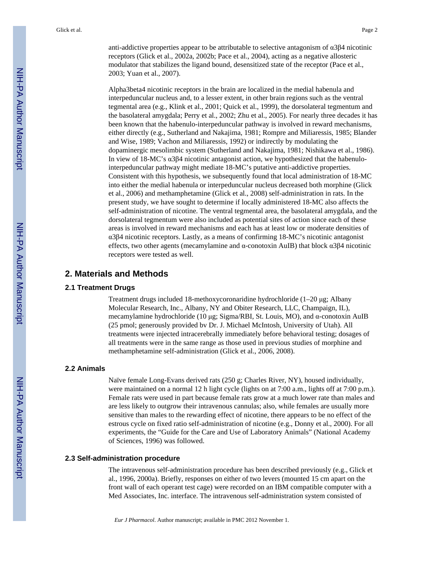anti-addictive properties appear to be attributable to selective antagonism of α3β4 nicotinic receptors (Glick et al., 2002a, 2002b; Pace et al., 2004), acting as a negative allosteric

Alpha3beta4 nicotinic receptors in the brain are localized in the medial habenula and interpeduncular nucleus and, to a lesser extent, in other brain regions such as the ventral tegmental area (e.g., Klink et al., 2001; Quick et al., 1999), the dorsolateral tegmentum and the basolateral amygdala; Perry et al., 2002; Zhu et al., 2005). For nearly three decades it has been known that the habenulo-interpeduncular pathway is involved in reward mechanisms, either directly (e.g., Sutherland and Nakajima, 1981; Rompre and Miliaressis, 1985; Blander and Wise, 1989; Vachon and Miliaressis, 1992) or indirectly by modulating the dopaminergic mesolimbic system (Sutherland and Nakajima, 1981; Nishikawa et al., 1986). In view of 18-MC's α3β4 nicotinic antagonist action, we hypothesized that the habenulointerpeduncular pathway might mediate 18-MC's putative anti-addictive properties. Consistent with this hypothesis, we subsequently found that local administration of 18-MC into either the medial habenula or interpeduncular nucleus decreased both morphine (Glick et al., 2006) and methamphetamine (Glick et al., 2008) self-administration in rats. In the present study, we have sought to determine if locally administered 18-MC also affects the self-administration of nicotine. The ventral tegmental area, the basolateral amygdala, and the dorsolateral tegmentum were also included as potential sites of action since each of these areas is involved in reward mechanisms and each has at least low or moderate densities of α3β4 nicotinic receptors. Lastly, as a means of confirming 18-MC's nicotinic antagonist effects, two other agents (mecamylamine and α-conotoxin AuIB) that block  $\alpha$ 3β4 nicotinic receptors were tested as well.

modulator that stabilizes the ligand bound, desensitized state of the receptor (Pace et al.,

# **2. Materials and Methods**

2003; Yuan et al., 2007).

#### **2.1 Treatment Drugs**

Treatment drugs included 18-methoxycoronaridine hydrochloride (1–20 μg; Albany Molecular Research, Inc., Albany, NY and Obiter Research, LLC, Champaign, IL), mecamylamine hydrochloride (10 μg; Sigma/RBI, St. Louis, MO), and α-conotoxin AuIB (25 pmol; generously provided bv Dr. J. Michael McIntosh, University of Utah). All treatments were injected intracerebrally immediately before behavioral testing; dosages of all treatments were in the same range as those used in previous studies of morphine and methamphetamine self-administration (Glick et al., 2006, 2008).

#### **2.2 Animals**

Naïve female Long-Evans derived rats (250 g; Charles River, NY), housed individually, were maintained on a normal 12 h light cycle (lights on at 7:00 a.m., lights off at 7:00 p.m.). Female rats were used in part because female rats grow at a much lower rate than males and are less likely to outgrow their intravenous cannulas; also, while females are usually more sensitive than males to the rewarding effect of nicotine, there appears to be no effect of the estrous cycle on fixed ratio self-administration of nicotine (e.g., Donny et al., 2000). For all experiments, the "Guide for the Care and Use of Laboratory Animals" (National Academy of Sciences, 1996) was followed.

#### **2.3 Self-administration procedure**

The intravenous self-administration procedure has been described previously (e.g., Glick et al., 1996, 2000a). Briefly, responses on either of two levers (mounted 15 cm apart on the front wall of each operant test cage) were recorded on an IBM compatible computer with a Med Associates, Inc. interface. The intravenous self-administration system consisted of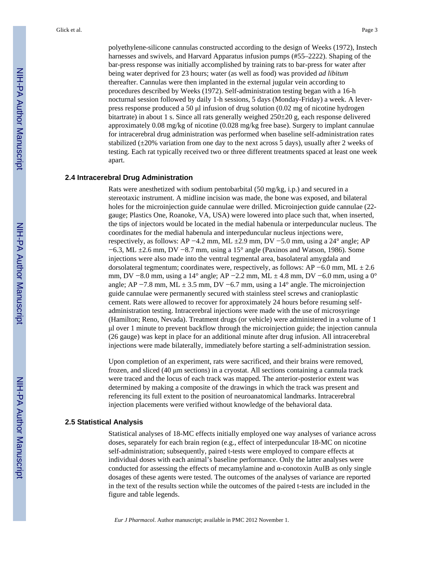being water deprived for 23 hours; water (as well as food) was provided *ad libitum* thereafter. Cannulas were then implanted in the external jugular vein according to procedures described by Weeks (1972). Self-administration testing began with a 16-h nocturnal session followed by daily 1-h sessions, 5 days (Monday-Friday) a week. A leverpress response produced a 50 μl infusion of drug solution (0.02 mg of nicotine hydrogen bitartrate) in about 1 s. Since all rats generally weighed  $250\pm 20$  g, each response delivered approximately 0.08 mg/kg of nicotine (0.028 mg/kg free base). Surgery to implant cannulae for intracerebral drug administration was performed when baseline self-administration rates stabilized  $(\pm 20\%$  variation from one day to the next across 5 days), usually after 2 weeks of testing. Each rat typically received two or three different treatments spaced at least one week apart.

#### **2.4 Intracerebral Drug Administration**

Rats were anesthetized with sodium pentobarbital (50 mg/kg, i.p.) and secured in a stereotaxic instrument. A midline incision was made, the bone was exposed, and bilateral holes for the microinjection guide cannulae were drilled. Microinjection guide cannulae (22 gauge; Plastics One, Roanoke, VA, USA) were lowered into place such that, when inserted, the tips of injectors would be located in the medial habenula or interpeduncular nucleus. The coordinates for the medial habenula and interpeduncular nucleus injections were, respectively, as follows: AP −4.2 mm, ML ±2.9 mm, DV −5.0 mm, using a 24° angle; AP −6.3, ML ±2.6 mm, DV −8.7 mm, using a 15° angle (Paxinos and Watson, 1986). Some injections were also made into the ventral tegmental area, basolateral amygdala and dorsolateral tegmentum; coordinates were, respectively, as follows: AP −6.0 mm, ML  $\pm$  2.6 mm, DV −8.0 mm, using a 14° angle; AP −2.2 mm, ML ± 4.8 mm, DV −6.0 mm, using a 0° angle; AP −7.8 mm, ML  $\pm$  3.5 mm, DV −6.7 mm, using a 14 $^{\circ}$  angle. The microinjection guide cannulae were permanently secured with stainless steel screws and cranioplastic cement. Rats were allowed to recover for approximately 24 hours before resuming selfadministration testing. Intracerebral injections were made with the use of microsyringe (Hamilton; Reno, Nevada). Treatment drugs (or vehicle) were administered in a volume of 1 μl over 1 minute to prevent backflow through the microinjection guide; the injection cannula (26 gauge) was kept in place for an additional minute after drug infusion. All intracerebral injections were made bilaterally, immediately before starting a self-administration session.

Upon completion of an experiment, rats were sacrificed, and their brains were removed, frozen, and sliced (40 μm sections) in a cryostat. All sections containing a cannula track were traced and the locus of each track was mapped. The anterior-posterior extent was determined by making a composite of the drawings in which the track was present and referencing its full extent to the position of neuroanatomical landmarks. Intracerebral injection placements were verified without knowledge of the behavioral data.

# **2.5 Statistical Analysis**

Statistical analyses of 18-MC effects initially employed one way analyses of variance across doses, separately for each brain region (e.g., effect of interpeduncular 18-MC on nicotine self-administration; subsequently, paired t-tests were employed to compare effects at individual doses with each animal's baseline performance. Only the latter analyses were conducted for assessing the effects of mecamylamine and α-conotoxin AuIB as only single dosages of these agents were tested. The outcomes of the analyses of variance are reported in the text of the results section while the outcomes of the paired t-tests are included in the figure and table legends.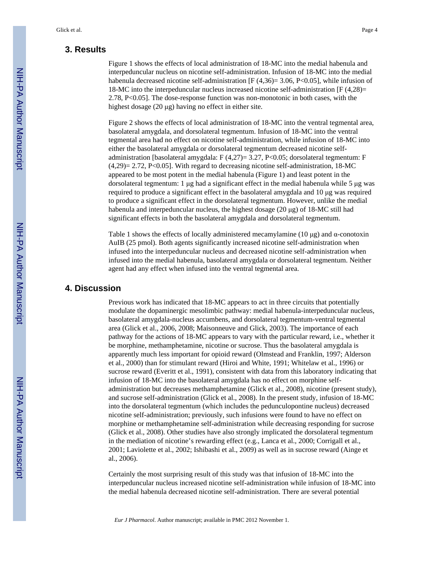# **3. Results**

Figure 1 shows the effects of local administration of 18-MC into the medial habenula and interpeduncular nucleus on nicotine self-administration. Infusion of 18-MC into the medial habenula decreased nicotine self-administration  $[F(4,36)=3.06, P<0.05]$ , while infusion of 18-MC into the interpeduncular nucleus increased nicotine self-administration [F (4,28)= 2.78, P<0.05]. The dose-response function was non-monotonic in both cases, with the highest dosage (20 μg) having no effect in either site.

Figure 2 shows the effects of local administration of 18-MC into the ventral tegmental area, basolateral amygdala, and dorsolateral tegmentum. Infusion of 18-MC into the ventral tegmental area had no effect on nicotine self-administration, while infusion of 18-MC into either the basolateral amygdala or dorsolateral tegmentum decreased nicotine selfadministration [basolateral amygdala: F (4,27)= 3.27, P<0.05; dorsolateral tegmentum: F  $(4.29) = 2.72$ , P<0.05]. With regard to decreasing nicotine self-administration, 18-MC appeared to be most potent in the medial habenula (Figure 1) and least potent in the dorsolateral tegmentum: 1 μg had a significant effect in the medial habenula while 5 μg was required to produce a significant effect in the basolateral amygdala and 10 μg was required to produce a significant effect in the dorsolateral tegmentum. However, unlike the medial habenula and interpeduncular nucleus, the highest dosage (20 μg) of 18-MC still had significant effects in both the basolateral amygdala and dorsolateral tegmentum.

Table 1 shows the effects of locally administered mecamylamine (10  $\mu$ g) and  $\alpha$ -conotoxin AuIB (25 pmol). Both agents significantly increased nicotine self-administration when infused into the interpeduncular nucleus and decreased nicotine self-administration when infused into the medial habenula, basolateral amygdala or dorsolateral tegmentum. Neither agent had any effect when infused into the ventral tegmental area.

# **4. Discussion**

Previous work has indicated that 18-MC appears to act in three circuits that potentially modulate the dopaminergic mesolimbic pathway: medial habenula-interpeduncular nucleus, basolateral amygdala-nucleus accumbens, and dorsolateral tegmentum-ventral tegmental area (Glick et al., 2006, 2008; Maisonneuve and Glick, 2003). The importance of each pathway for the actions of 18-MC appears to vary with the particular reward, i.e., whether it be morphine, methamphetamine, nicotine or sucrose. Thus the basolateral amygdala is apparently much less important for opioid reward (Olmstead and Franklin, 1997; Alderson et al., 2000) than for stimulant reward (Hiroi and White, 1991; Whitelaw et al., 1996) or sucrose reward (Everitt et al., 1991), consistent with data from this laboratory indicating that infusion of 18-MC into the basolateral amygdala has no effect on morphine selfadministration but decreases methamphetamine (Glick et al., 2008), nicotine (present study), and sucrose self-administration (Glick et al., 2008). In the present study, infusion of 18-MC into the dorsolateral tegmentum (which includes the pedunculopontine nucleus) decreased nicotine self-administration; previously, such infusions were found to have no effect on morphine or methamphetamine self-administration while decreasing responding for sucrose (Glick et al., 2008). Other studies have also strongly implicated the dorsolateral tegmentum in the mediation of nicotine's rewarding effect (e.g., Lanca et al., 2000; Corrigall et al., 2001; Laviolette et al., 2002; Ishibashi et al., 2009) as well as in sucrose reward (Ainge et al., 2006).

Certainly the most surprising result of this study was that infusion of 18-MC into the interpeduncular nucleus increased nicotine self-administration while infusion of 18-MC into the medial habenula decreased nicotine self-administration. There are several potential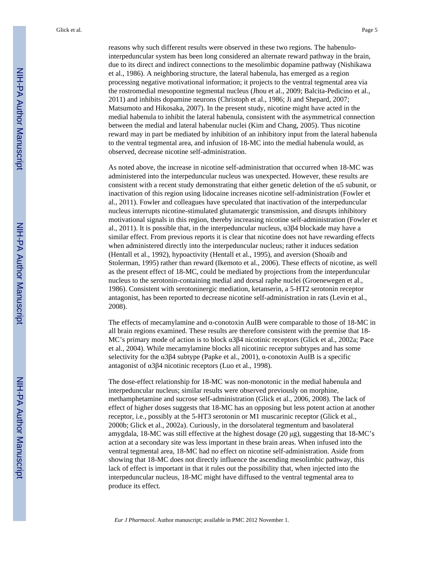reasons why such different results were observed in these two regions. The habenulointerpeduncular system has been long considered an alternate reward pathway in the brain, due to its direct and indirect connections to the mesolimbic dopamine pathway (Nishikawa et al., 1986). A neighboring structure, the lateral habenula, has emerged as a region processing negative motivational information; it projects to the ventral tegmental area via the rostromedial mesopontine tegmental nucleus (Jhou et al., 2009; Balcita-Pedicino et al., 2011) and inhibits dopamine neurons (Christoph et al., 1986; Ji and Shepard, 2007; Matsumoto and Hikosaka, 2007). In the present study, nicotine might have acted in the medial habenula to inhibit the lateral habenula, consistent with the asymmetrical connection between the medial and lateral habenular nuclei (Kim and Chang, 2005). Thus nicotine reward may in part be mediated by inhibition of an inhibitory input from the lateral habenula to the ventral tegmental area, and infusion of 18-MC into the medial habenula would, as observed, decrease nicotine self-administration.

As noted above, the increase in nicotine self-administration that occurred when 18-MC was administered into the interpeduncular nucleus was unexpected. However, these results are consistent with a recent study demonstrating that either genetic deletion of the  $\alpha$ 5 subunit, or inactivation of this region using lidocaine increases nicotine self-administration (Fowler et al., 2011). Fowler and colleagues have speculated that inactivation of the interpeduncular nucleus interrupts nicotine-stimulated glutamatergic transmission, and disrupts inhibitory motivational signals in this region, thereby increasing nicotine self-administration (Fowler et al., 2011). It is possible that, in the interpeduncular nucleus,  $\alpha$ 3β4 blockade may have a similar effect. From previous reports it is clear that nicotine does not have rewarding effects when administered directly into the interpeduncular nucleus; rather it induces sedation (Hentall et al., 1992), hypoactivity (Hentall et al., 1995), and aversion (Shoaib and Stolerman, 1995) rather than reward (Ikemoto et al., 2006). These effects of nicotine, as well as the present effect of 18-MC, could be mediated by projections from the inteperduncular nucleus to the serotonin-containing medial and dorsal raphe nuclei (Groenewegen et al., 1986). Consistent with serotoninergic mediation, ketanserin, a 5-HT2 serotonin receptor antagonist, has been reported to decrease nicotine self-administration in rats (Levin et al., 2008).

The effects of mecamylamine and  $\alpha$ -conotoxin AuIB were comparable to those of 18-MC in all brain regions examined. These results are therefore consistent with the premise that 18- MC's primary mode of action is to block α3β4 nicotinic receptors (Glick et al., 2002a; Pace et al., 2004). While mecamylamine blocks all nicotinic receptor subtypes and has some selectivity for the  $\alpha$ 3 $\beta$ 4 subtype (Papke et al., 2001),  $\alpha$ -conotoxin AuIB is a specific antagonist of α3β4 nicotinic receptors (Luo et al., 1998).

The dose-effect relationship for 18-MC was non-monotonic in the medial habenula and interpeduncular nucleus; similar results were observed previously on morphine, methamphetamine and sucrose self-administration (Glick et al., 2006, 2008). The lack of effect of higher doses suggests that 18-MC has an opposing but less potent action at another receptor, i.e., possibly at the 5-HT3 serotonin or M1 muscarinic receptor (Glick et al., 2000b; Glick et al., 2002a). Curiously, in the dorsolateral tegmentum and basolateral amygdala, 18-MC was still effective at the highest dosage (20 μg), suggesting that 18-MC's action at a secondary site was less important in these brain areas. When infused into the ventral tegmental area, 18-MC had no effect on nicotine self-administration. Aside from showing that 18-MC does not directly influence the ascending mesolimbic pathway, this lack of effect is important in that it rules out the possibility that, when injected into the interpeduncular nucleus, 18-MC might have diffused to the ventral tegmental area to produce its effect.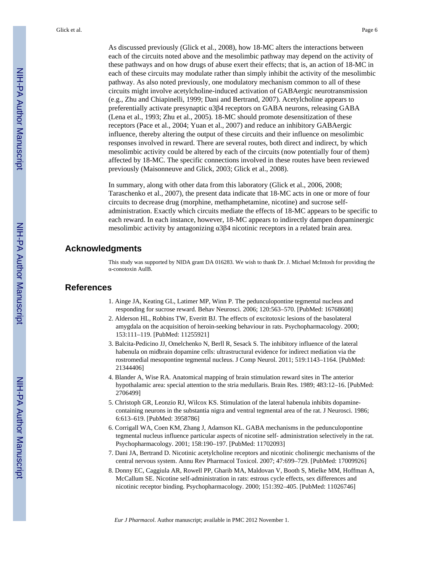Glick et al. Page 6

As discussed previously (Glick et al., 2008), how 18-MC alters the interactions between each of the circuits noted above and the mesolimbic pathway may depend on the activity of these pathways and on how drugs of abuse exert their effects; that is, an action of 18-MC in each of these circuits may modulate rather than simply inhibit the activity of the mesolimbic pathway. As also noted previously, one modulatory mechanism common to all of these circuits might involve acetylcholine-induced activation of GABAergic neurotransmission (e.g., Zhu and Chiapinelli, 1999; Dani and Bertrand, 2007). Acetylcholine appears to preferentially activate presynaptic α3β4 receptors on GABA neurons, releasing GABA (Lena et al., 1993; Zhu et al., 2005). 18-MC should promote desensitization of these receptors (Pace et al., 2004; Yuan et al., 2007) and reduce an inhibitory GABAergic influence, thereby altering the output of these circuits and their influence on mesolimbic responses involved in reward. There are several routes, both direct and indirect, by which mesolimbic activity could be altered by each of the circuits (now potentially four of them) affected by 18-MC. The specific connections involved in these routes have been reviewed previously (Maisonneuve and Glick, 2003; Glick et al., 2008).

In summary, along with other data from this laboratory (Glick et al., 2006, 2008; Taraschenko et al., 2007), the present data indicate that 18-MC acts in one or more of four circuits to decrease drug (morphine, methamphetamine, nicotine) and sucrose selfadministration. Exactly which circuits mediate the effects of 18-MC appears to be specific to each reward. In each instance, however, 18-MC appears to indirectly dampen dopaminergic mesolimbic activity by antagonizing  $\alpha$ 3 $\beta$ 4 nicotinic receptors in a related brain area.

# **Acknowledgments**

This study was supported by NIDA grant DA 016283. We wish to thank Dr. J. Michael McIntosh for providing the α-conotoxin AuIB.

# **References**

- 1. Ainge JA, Keating GL, Latimer MP, Winn P. The pedunculopontine tegmental nucleus and responding for sucrose reward. Behav Neurosci. 2006; 120:563–570. [PubMed: 16768608]
- 2. Alderson HL, Robbins TW, Everitt BJ. The effects of excitotoxic lesions of the basolateral amygdala on the acquisition of heroin-seeking behaviour in rats. Psychopharmacology. 2000; 153:111–119. [PubMed: 11255921]
- 3. Balcita-Pedicino JJ, Omelchenko N, Berll R, Sesack S. The inhibitory influence of the lateral habenula on midbrain dopamine cells: ultrastructural evidence for indirect mediation via the rostromedial mesopontine tegmental nucleus. J Comp Neurol. 2011; 519:1143–1164. [PubMed: 21344406]
- 4. Blander A, Wise RA. Anatomical mapping of brain stimulation reward sites in The anterior hypothalamic area: special attention to the stria medullaris. Brain Res. 1989; 483:12–16. [PubMed: 2706499]
- 5. Christoph GR, Leonzio RJ, Wilcox KS. Stimulation of the lateral habenula inhibits dopaminecontaining neurons in the substantia nigra and ventral tegmental area of the rat. J Neurosci. 1986; 6:613–619. [PubMed: 3958786]
- 6. Corrigall WA, Coen KM, Zhang J, Adamson KL. GABA mechanisms in the pedunculopontine tegmental nucleus influence particular aspects of nicotine self- administration selectively in the rat. Psychopharmacology. 2001; 158:190–197. [PubMed: 11702093]
- 7. Dani JA, Bertrand D. Nicotinic acetylcholine receptors and nicotinic cholinergic mechanisms of the central nervous system. Annu Rev Pharmacol Toxicol. 2007; 47:699–729. [PubMed: 17009926]
- 8. Donny EC, Caggiula AR, Rowell PP, Gharib MA, Maldovan V, Booth S, Mielke MM, Hoffman A, McCallum SE. Nicotine self-administration in rats: estrous cycle effects, sex differences and nicotinic receptor binding. Psychopharmacology. 2000; 151:392–405. [PubMed: 11026746]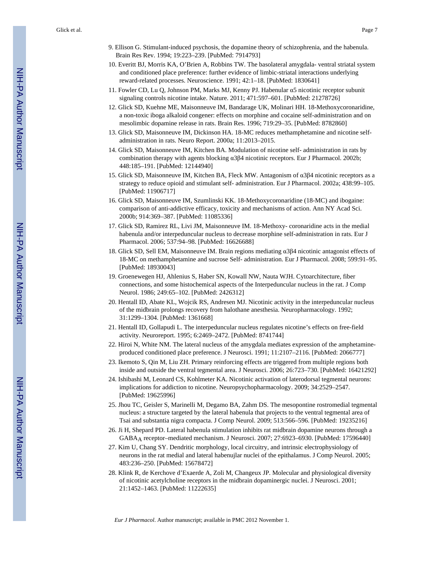- 9. Ellison G. Stimulant-induced psychosis, the dopamine theory of schizophrenia, and the habenula. Brain Res Rev. 1994; 19:223–239. [PubMed: 7914793]
- 10. Everitt BJ, Morris KA, O'Brien A, Robbins TW. The basolateral amygdala- ventral striatal system and conditioned place preference: further evidence of limbic-striatal interactions underlying reward-related processes. Neuroscience. 1991; 42:1–18. [PubMed: 1830641]
- 11. Fowler CD, Lu Q, Johnson PM, Marks MJ, Kenny PJ. Habenular α5 nicotinic receptor subunit signaling controls nicotine intake. Nature. 2011; 471:597–601. [PubMed: 21278726]
- 12. Glick SD, Kuehne ME, Maisonneuve IM, Bandarage UK, Molinari HH. 18-Methoxycoronaridine, a non-toxic iboga alkaloid congener: effects on morphine and cocaine self-administration and on mesolimbic dopamine release in rats. Brain Res. 1996; 719:29–35. [PubMed: 8782860]
- 13. Glick SD, Maisonneuve IM, Dickinson HA. 18-MC reduces methamphetamine and nicotine selfadministration in rats. Neuro Report. 2000a; 11:2013–2015.
- 14. Glick SD, Maisonneuve IM, Kitchen BA. Modulation of nicotine self- administration in rats by combination therapy with agents blocking α3β4 nicotinic receptors. Eur J Pharmacol. 2002b; 448:185–191. [PubMed: 12144940]
- 15. Glick SD, Maisonneuve IM, Kitchen BA, Fleck MW. Antagonism of α3β4 nicotinic receptors as a strategy to reduce opioid and stimulant self- administration. Eur J Pharmacol. 2002a; 438:99–105. [PubMed: 11906717]
- 16. Glick SD, Maisonneuve IM, Szumlinski KK. 18-Methoxycoronaridine (18-MC) and ibogaine: comparison of anti-addictive efficacy, toxicity and mechanisms of action. Ann NY Acad Sci. 2000b; 914:369–387. [PubMed: 11085336]
- 17. Glick SD, Ramirez RL, Livi JM, Maisonneuve IM. 18-Methoxy- coronaridine acts in the medial habenula and/or interpeduncular nucleus to decrease morphine self-administration in rats. Eur J Pharmacol. 2006; 537:94–98. [PubMed: 16626688]
- 18. Glick SD, Sell EM, Maisonneuve IM. Brain regions mediating α3β4 nicotinic antagonist effects of 18-MC on methamphetamine and sucrose Self- administration. Eur J Pharmacol. 2008; 599:91–95. [PubMed: 18930043]
- 19. Groenewegen HJ, Ahlenius S, Haber SN, Kowall NW, Nauta WJH. Cytoarchitecture, fiber connections, and some histochemical aspects of the Interpeduncular nucleus in the rat. J Comp Neurol. 1986; 249:65–102. [PubMed: 2426312]
- 20. Hentall ID, Abate KL, Wojcik RS, Andresen MJ. Nicotinic activity in the interpeduncular nucleus of the midbrain prolongs recovery from halothane anesthesia. Neuropharmacology. 1992; 31:1299–1304. [PubMed: 1361668]
- 21. Hentall ID, Gollapudi L. The interpeduncular nucleus regulates nicotine's effects on free-field activity. Neuroreport. 1995; 6:2469–2472. [PubMed: 8741744]
- 22. Hiroi N, White NM. The lateral nucleus of the amygdala mediates expression of the amphetamineproduced conditioned place preference. J Neurosci. 1991; 11:2107–2116. [PubMed: 2066777]
- 23. Ikemoto S, Qin M, Liu ZH. Primary reinforcing effects are triggered from multiple regions both inside and outside the ventral tegmental area. J Neurosci. 2006; 26:723–730. [PubMed: 16421292]
- 24. Ishibashi M, Leonard CS, Kohlmeter KA. Nicotinic activation of laterodorsal tegmental neurons: implications for addiction to nicotine. Neuropsychopharmacology. 2009; 34:2529–2547. [PubMed: 19625996]
- 25. Jhou TC, Geisler S, Marinelli M, Degamo BA, Zahm DS. The mesopontine rostromedial tegmental nucleus: a structure targeted by the lateral habenula that projects to the ventral tegmental area of Tsai and substantia nigra compacta. J Comp Neurol. 2009; 513:566–596. [PubMed: 19235216]
- 26. Ji H, Shepard PD. Lateral habenula stimulation inhibits rat midbrain dopamine neurons through a GABAA receptor–mediated mechanism. J Neurosci. 2007; 27:6923–6930. [PubMed: 17596440]
- 27. Kim U, Chang SY. Dendritic morphology, local circuitry, and intrinsic electrophysiology of neurons in the rat medial and lateral habenujlar nuclei of the epithalamus. J Comp Neurol. 2005; 483:236–250. [PubMed: 15678472]
- 28. Klink R, de Kerchove d'Exaerde A, Zoli M, Changeux JP. Molecular and physiological diversity of nicotinic acetylcholine receptors in the midbrain dopaminergic nuclei. J Neurosci. 2001; 21:1452–1463. [PubMed: 11222635]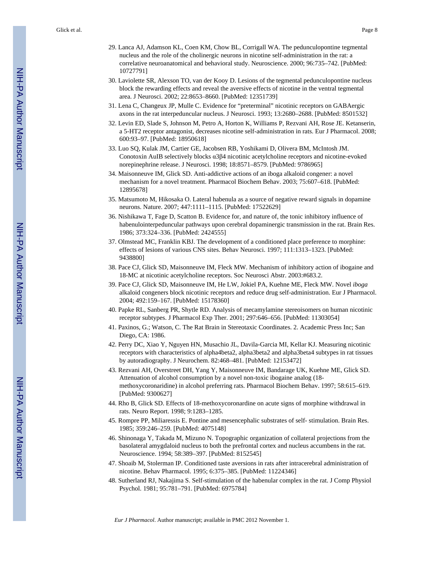- 29. Lanca AJ, Adamson KL, Coen KM, Chow BL, Corrigall WA. The pedunculopontine tegmental nucleus and the role of the cholinergic neurons in nicotine self-administration in the rat: a correlative neuroanatomical and behavioral study. Neuroscience. 2000; 96:735–742. [PubMed: 10727791]
- 30. Laviolette SR, Alexson TO, van der Kooy D. Lesions of the tegmental pedunculopontine nucleus block the rewarding effects and reveal the aversive effects of nicotine in the ventral tegmental area. J Neurosci. 2002; 22:8653–8660. [PubMed: 12351739]
- 31. Lena C, Changeux JP, Mulle C. Evidence for "preterminal" nicotinic receptors on GABAergic axons in the rat interpeduncular nucleus. J Neurosci. 1993; 13:2680–2688. [PubMed: 8501532]
- 32. Levin ED, Slade S, Johnson M, Petro A, Horton K, Williams P, Rezvani AH, Rose JE. Ketanserin, a 5-HT2 receptor antagonist, decreases nicotine self-administration in rats. Eur J Pharmacol. 2008; 600:93–97. [PubMed: 18950618]
- 33. Luo SQ, Kulak JM, Cartier GE, Jacobsen RB, Yoshikami D, Olivera BM, McIntosh JM. Conotoxin AuIB selectively blocks α3β4 nicotinic acetylcholine receptors and nicotine-evoked norepinephrine release. J Neurosci. 1998; 18:8571–8579. [PubMed: 9786965]
- 34. Maisonneuve IM, Glick SD. Anti-addictive actions of an iboga alkaloid congener: a novel mechanism for a novel treatment. Pharmacol Biochem Behav. 2003; 75:607–618. [PubMed: 12895678]
- 35. Matsumoto M, Hikosaka O. Lateral habenula as a source of negative reward signals in dopamine neurons. Nature. 2007; 447:1111–1115. [PubMed: 17522629]
- 36. Nishikawa T, Fage D, Scatton B. Evidence for, and nature of, the tonic inhibitory influence of habenulointerpeduncular pathways upon cerebral dopaminergic transmission in the rat. Brain Res. 1986; 373:324–336. [PubMed: 2424555]
- 37. Olmstead MC, Franklin KBJ. The development of a conditioned place preference to morphine: effects of lesions of various CNS sites. Behav Neurosci. 1997; 111:1313–1323. [PubMed: 9438800]
- 38. Pace CJ, Glick SD, Maisonneuve IM, Fleck MW. Mechanism of inhibitory action of ibogaine and 18-MC at nicotinic acetylcholine receptors. Soc Neurosci Abstr. 2003:#683.2.
- 39. Pace CJ, Glick SD, Maisonneuve IM, He LW, Jokiel PA, Kuehne ME, Fleck MW. Novel *iboga* alkaloid congeners block nicotinic receptors and reduce drug self-administration. Eur J Pharmacol. 2004; 492:159–167. [PubMed: 15178360]
- 40. Papke RL, Sanberg PR, Shytle RD. Analysis of mecamylamine stereoisomers on human nicotinic receptor subtypes. J Pharmacol Exp Ther. 2001; 297:646–656. [PubMed: 11303054]
- 41. Paxinos, G.; Watson, C. The Rat Brain in Stereotaxic Coordinates. 2. Academic Press Inc; San Diego, CA: 1986.
- 42. Perry DC, Xiao Y, Nguyen HN, Musachio JL, Davila-Garcia MI, Kellar KJ. Measuring nicotinic receptors with characteristics of alpha4beta2, alpha3beta2 and alpha3beta4 subtypes in rat tissues by autoradiography. J Neurochem. 82:468–481. [PubMed: 12153472]
- 43. Rezvani AH, Overstreet DH, Yang Y, Maisonneuve IM, Bandarage UK, Kuehne ME, Glick SD. Attenuation of alcohol consumption by a novel non-toxic ibogaine analog (18 methoxycoronaridine) in alcohol preferring rats. Pharmacol Biochem Behav. 1997; 58:615–619. [PubMed: 9300627]
- 44. Rho B, Glick SD. Effects of 18-methoxycoronardine on acute signs of morphine withdrawal in rats. Neuro Report. 1998; 9:1283–1285.
- 45. Rompre PP, Miliaressis E. Pontine and mesencephalic substrates of self- stimulation. Brain Res. 1985; 359:246–259. [PubMed: 4075148]
- 46. Shinonaga Y, Takada M, Mizuno N. Topographic organization of collateral projections from the basolateral amygdaloid nucleus to both the prefrontal cortex and nucleus accumbens in the rat. Neuroscience. 1994; 58:389–397. [PubMed: 8152545]
- 47. Shoaib M, Stolerman IP. Conditioned taste aversions in rats after intracerebral administration of nicotine. Behav Pharmacol. 1995; 6:375–385. [PubMed: 11224346]
- 48. Sutherland RJ, Nakajima S. Self-stimulation of the habenular complex in the rat. J Comp Physiol Psychol. 1981; 95:781–791. [PubMed: 6975784]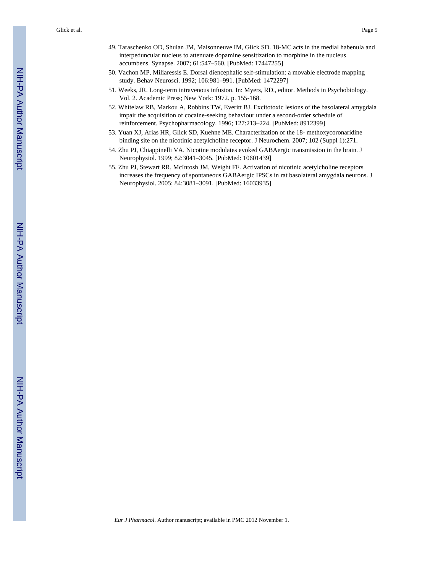Glick et al. Page 9

- 49. Taraschenko OD, Shulan JM, Maisonneuve IM, Glick SD. 18-MC acts in the medial habenula and interpeduncular nucleus to attenuate dopamine sensitization to morphine in the nucleus accumbens. Synapse. 2007; 61:547–560. [PubMed: 17447255]
- 50. Vachon MP, Miliaressis E. Dorsal diencephalic self-stimulation: a movable electrode mapping study. Behav Neurosci. 1992; 106:981–991. [PubMed: 1472297]
- 51. Weeks, JR. Long-term intravenous infusion. In: Myers, RD., editor. Methods in Psychobiology. Vol. 2. Academic Press; New York: 1972. p. 155-168.
- 52. Whitelaw RB, Markou A, Robbins TW, Everitt BJ. Excitotoxic lesions of the basolateral amygdala impair the acquisition of cocaine-seeking behaviour under a second-order schedule of reinforcement. Psychopharmacology. 1996; 127:213–224. [PubMed: 8912399]
- 53. Yuan XJ, Arias HR, Glick SD, Kuehne ME. Characterization of the 18- methoxycoronaridine binding site on the nicotinic acetylcholine receptor. J Neurochem. 2007; 102 (Suppl 1):271.
- 54. Zhu PJ, Chiappinelli VA. Nicotine modulates evoked GABAergic transmission in the brain. J Neurophysiol. 1999; 82:3041–3045. [PubMed: 10601439]
- 55. Zhu PJ, Stewart RR, McIntosh JM, Weight FF. Activation of nicotinic acetylcholine receptors increases the frequency of spontaneous GABAergic IPSCs in rat basolateral amygdala neurons. J Neurophysiol. 2005; 84:3081–3091. [PubMed: 16033935]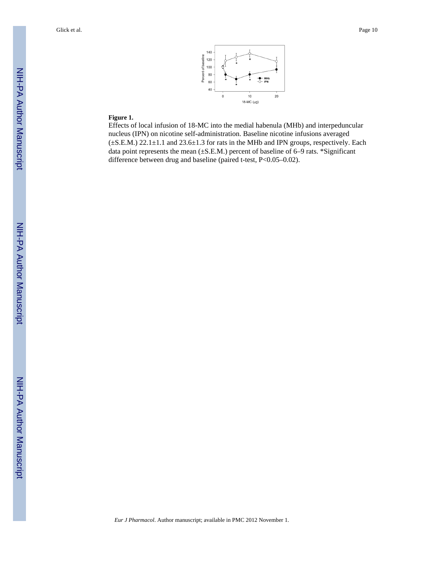

# **Figure 1.**

Effects of local infusion of 18-MC into the medial habenula (MHb) and interpeduncular nucleus (IPN) on nicotine self-administration. Baseline nicotine infusions averaged (±S.E.M.) 22.1±1.1 and 23.6±1.3 for rats in the MHb and IPN groups, respectively. Each data point represents the mean (±S.E.M.) percent of baseline of 6–9 rats. \*Significant difference between drug and baseline (paired t-test, P<0.05–0.02).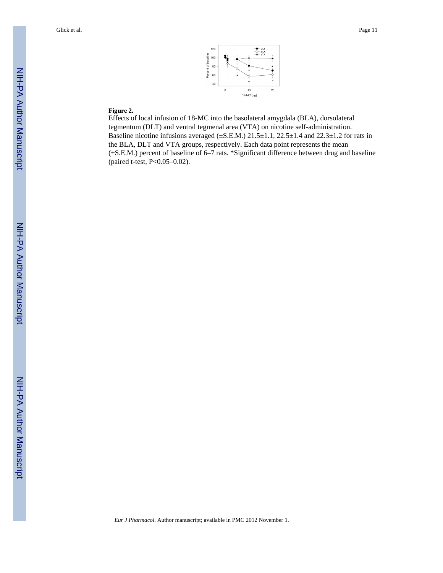

#### **Figure 2.**

Effects of local infusion of 18-MC into the basolateral amygdala (BLA), dorsolateral tegmentum (DLT) and ventral tegmenal area (VTA) on nicotine self-administration. Baseline nicotine infusions averaged  $(\pm S.E.M.)$  21.5 $\pm 1.1$ , 22.5 $\pm 1.4$  and 22.3 $\pm 1.2$  for rats in the BLA, DLT and VTA groups, respectively. Each data point represents the mean (±S.E.M.) percent of baseline of 6–7 rats. \*Significant difference between drug and baseline (paired t-test, P<0.05–0.02).